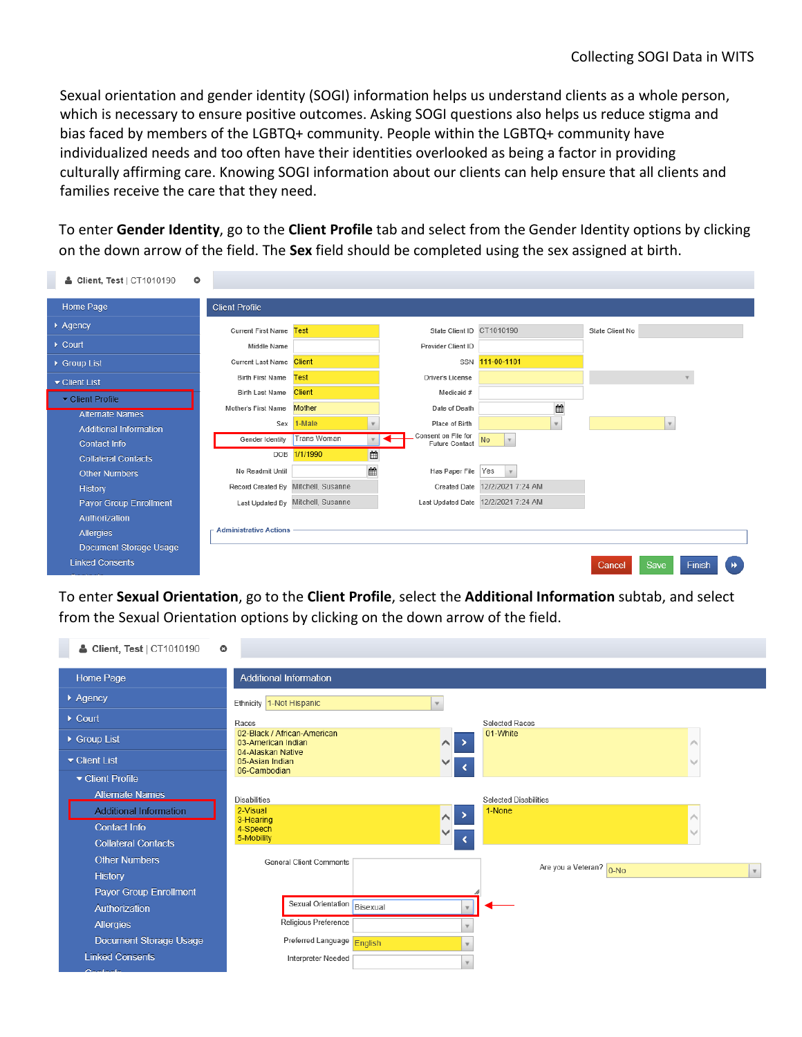Sexual orientation and gender identity (SOGI) information helps us understand clients as a whole person, which is necessary to ensure positive outcomes. Asking SOGI questions also helps us reduce stigma and bias faced by members of the LGBTQ+ community. People within the LGBTQ+ community have individualized needs and too often have their identities overlooked as being a factor in providing culturally affirming care. Knowing SOGI information about our clients can help ensure that all clients and families receive the care that they need.

To enter **Gender Identity**, go to the **Client Profile** tab and select from the Gender Identity options by clicking on the down arrow of the field. The **Sex** field should be completed using the sex assigned at birth.

| & Client, Test   CT1010190<br>$\circ$ |                                     |                                    |                                       |                                     |                                 |
|---------------------------------------|-------------------------------------|------------------------------------|---------------------------------------|-------------------------------------|---------------------------------|
| Home Page                             | <b>Client Profile</b>               |                                    |                                       |                                     |                                 |
| Agency                                | Current First Name                  | <b>Test</b>                        | State Client ID CT1010190             |                                     | State Client No                 |
| $\triangleright$ Court                | Middle Name                         |                                    | Provider Client ID                    |                                     |                                 |
| ▶ Group List                          | <b>Current Last Name</b>            | <b>Client</b>                      |                                       | SSN 111-00-1101                     |                                 |
| Client List                           | <b>Birth First Name</b>             | <b>Test</b>                        | Driver's License                      |                                     |                                 |
| Client Profile                        | <b>Birth Last Name</b>              | <b>Client</b>                      | Medicaid #                            |                                     |                                 |
| <b>Alternate Names</b>                | Mother's First Name                 | <b>Mother</b>                      | Date of Death                         | Ë                                   |                                 |
| <b>Additional Information</b>         | Sex                                 | 1-Male<br>$\mathbf{v}$             | Place of Birth<br>Consent on File for |                                     | $\mathbf{v}$                    |
| <b>Contact Info</b>                   | Gender Identity                     | <b>Trans Woman</b><br>$\mathbf{v}$ | Future Contact                        | No<br>$\mathbf v$                   |                                 |
| <b>Collateral Contacts</b>            | DOB                                 | ■<br>1/1/1990                      |                                       |                                     |                                 |
| <b>Other Numbers</b>                  | No Readmit Until                    |                                    | Has Paper File Yes                    |                                     |                                 |
| History                               | Record Created By Mitchell, Susanne |                                    |                                       | Created Date 12/2/2021 7:24 AM      |                                 |
| <b>Payor Group Enrollment</b>         |                                     | Last Updated By Mitchell, Susanne  |                                       | Last Updated Date 12/2/2021 7:24 AM |                                 |
| Authorization                         |                                     |                                    |                                       |                                     |                                 |
| <b>Allergies</b>                      | <b>Administrative Actions</b>       |                                    |                                       |                                     |                                 |
| Document Storage Usage                |                                     |                                    |                                       |                                     |                                 |
| <b>Linked Consents</b>                |                                     |                                    |                                       |                                     | Save<br>Finish<br><b>Cancel</b> |
|                                       |                                     |                                    |                                       |                                     |                                 |

To enter **Sexual Orientation**, go to the **Client Profile**, select the **Additional Information** subtab, and select from the Sexual Orientation options by clicking on the down arrow of the field.

| & Client, Test   CT1010190<br>$\bullet$ |                                                                                       |              |
|-----------------------------------------|---------------------------------------------------------------------------------------|--------------|
| Home Page                               | <b>Additional Information</b>                                                         |              |
| ▶ Agency                                | Ethnicity 1-Not Hispanic<br>$\mathbf{v}$                                              |              |
| $\triangleright$ Court                  | Races<br><b>Selected Races</b>                                                        |              |
| ▶ Group List                            | 02-Black / African-American<br>01-White<br>03-American Indian<br>$\sim$ $\rightarrow$ |              |
| Client List                             | 04-Alaskan Native<br>05-Asian Indian<br>✓<br>06-Cambodian                             |              |
| ▼ Client Profile                        |                                                                                       |              |
| <b>Alternate Names</b>                  | <b>Disabilities</b><br><b>Selected Disabilities</b>                                   |              |
| <b>Additional Information</b>           | 1-None<br>2-Visual<br>→<br>$\curvearrowright$<br>3-Hearing                            |              |
| <b>Contact Info</b>                     | 4-Speech                                                                              |              |
| <b>Collateral Contacts</b>              | 5-Mobility<br>∢                                                                       |              |
| <b>Other Numbers</b>                    | <b>General Client Comments</b><br>Are you a Veteran? 0-No                             |              |
| History                                 |                                                                                       | $\mathbf{v}$ |
| Payor Group Enrollment                  |                                                                                       |              |
| Authorization                           | Sexual Orientation Bisexual                                                           |              |
| <b>Allergies</b>                        | Religious Preference                                                                  |              |
| <b>Document Storage Usage</b>           | Preferred Language English                                                            |              |
| <b>Linked Consents</b>                  | <b>Interpreter Needed</b>                                                             |              |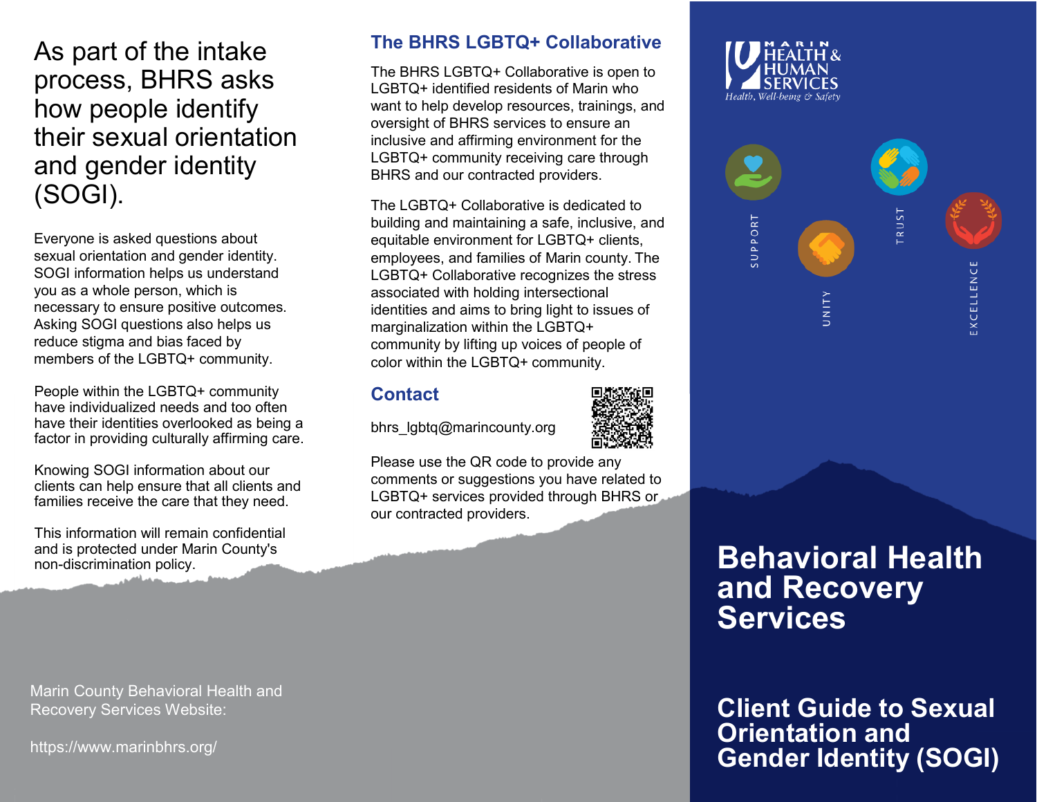As part of the intake process, BHRS asks how people identify their sexual orientation and gender identity (SOGI).

Everyone is asked questions about sexual orientation and gender identity. SOGI information helps us understand you as a whole person, which is necessary to ensure positive outcomes. Asking SOGI questions also helps us reduce stigma and bias faced by members of the LGBTQ+ community.

People within the LGBTQ+ community have individualized needs and too often have their identities overlooked as being a factor in providing culturally affirming care.

Knowing SOGI information about our clients can help ensure that all clients and families receive the care that they need.

This information will remain confidential and is protected under Marin County's non-discrimination policy.

Marin County Behavioral Health and Recovery Services Website:

[https://www.marinbhrs.org](http://www.marinbhrs.org/)/

# **The BHRS LGBTQ+ Collaborative**

The BHRS LGBTQ+ Collaborative is open to LGBTQ+ identified residents of Marin who want to help develop resources, trainings, and oversight of BHRS services to ensure an inclusive and affirming environment for the LGBTQ+ community receiving care through BHRS and our contracted providers.

The LGBTQ+ Collaborative is dedicated to building and maintaining a safe, inclusive, and equitable environment for LGBTQ+ clients, employees, and families of Marin county. The LGBTQ+ Collaborative recognizes the stress associated with holding intersectional identities and aims to bring light to issues of marginalization within the LGBTQ+ community by lifting up voices of people of color within the LGBTQ+ community.

# **[Contact](mailto:bhrs_lgbtq@marincounty.org)**

bhrs lgbtq@marincounty.org

Please use the QR code to provide any comments or suggestions you have related to LGBTQ+ services provided through BHRS or our contracted providers.



# **Behavioral Health and Recovery Services**

**Client Guide to Sexual Orientation and Gender Identity (SOGI)**